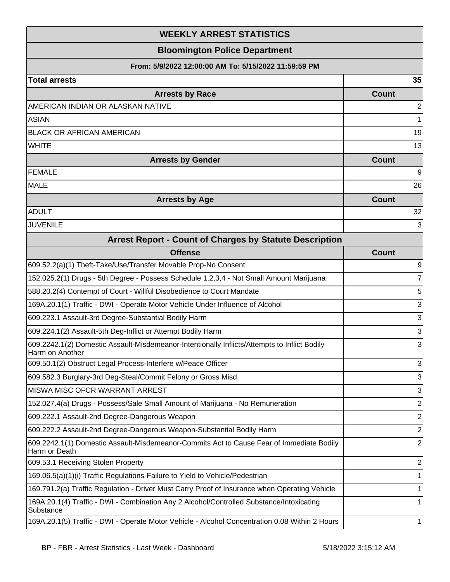| <b>WEEKLY ARREST STATISTICS</b><br><b>Bloomington Police Department</b><br>From: 5/9/2022 12:00:00 AM To: 5/15/2022 11:59:59 PM |                |                        |              |
|---------------------------------------------------------------------------------------------------------------------------------|----------------|------------------------|--------------|
|                                                                                                                                 |                | <b>Total arrests</b>   | 35           |
|                                                                                                                                 |                | <b>Arrests by Race</b> | <b>Count</b> |
| AMERICAN INDIAN OR ALASKAN NATIVE                                                                                               | $\overline{2}$ |                        |              |
| <b>ASIAN</b>                                                                                                                    | 1              |                        |              |
| <b>BLACK OR AFRICAN AMERICAN</b>                                                                                                | 19             |                        |              |
| <b>WHITE</b>                                                                                                                    | 13             |                        |              |
| <b>Arrests by Gender</b>                                                                                                        | <b>Count</b>   |                        |              |
| <b>FEMALE</b>                                                                                                                   | 9              |                        |              |
| <b>MALE</b>                                                                                                                     | 26             |                        |              |
| <b>Arrests by Age</b>                                                                                                           | <b>Count</b>   |                        |              |
| <b>ADULT</b>                                                                                                                    | 32             |                        |              |
| <b>JUVENILE</b>                                                                                                                 | 3              |                        |              |
| <b>Arrest Report - Count of Charges by Statute Description</b>                                                                  |                |                        |              |
| <b>Offense</b>                                                                                                                  | <b>Count</b>   |                        |              |
| 609.52.2(a)(1) Theft-Take/Use/Transfer Movable Prop-No Consent                                                                  | 9              |                        |              |
| 152.025.2(1) Drugs - 5th Degree - Possess Schedule 1,2,3,4 - Not Small Amount Marijuana                                         | $\overline{7}$ |                        |              |
| 588.20.2(4) Contempt of Court - Willful Disobedience to Court Mandate                                                           | 5              |                        |              |
| 169A.20.1(1) Traffic - DWI - Operate Motor Vehicle Under Influence of Alcohol                                                   | 3              |                        |              |
| 609.223.1 Assault-3rd Degree-Substantial Bodily Harm                                                                            | $\sqrt{3}$     |                        |              |
| 609.224.1(2) Assault-5th Deg-Inflict or Attempt Bodily Harm                                                                     | 3              |                        |              |
| 609.2242.1(2) Domestic Assault-Misdemeanor-Intentionally Inflicts/Attempts to Inflict Bodily<br>Harm on Another                 | 3              |                        |              |
| 609.50.1(2) Obstruct Legal Process-Interfere w/Peace Officer                                                                    | 3              |                        |              |
| 609.582.3 Burglary-3rd Deg-Steal/Commit Felony or Gross Misd                                                                    | 3              |                        |              |
| MISWA MISC OFCR WARRANT ARREST                                                                                                  | 3              |                        |              |
| 152.027.4(a) Drugs - Possess/Sale Small Amount of Marijuana - No Remuneration                                                   | $\mathbf{2}$   |                        |              |
| 609.222.1 Assault-2nd Degree-Dangerous Weapon                                                                                   | $\mathbf{2}$   |                        |              |
| 609.222.2 Assault-2nd Degree-Dangerous Weapon-Substantial Bodily Harm                                                           | $\mathbf{2}$   |                        |              |
| 609.2242.1(1) Domestic Assault-Misdemeanor-Commits Act to Cause Fear of Immediate Bodily<br>Harm or Death                       | $\overline{2}$ |                        |              |
| 609.53.1 Receiving Stolen Property                                                                                              | 2              |                        |              |
| 169.06.5(a)(1)(i) Traffic Regulations-Failure to Yield to Vehicle/Pedestrian                                                    | 1              |                        |              |
| 169.791.2(a) Traffic Regulation - Driver Must Carry Proof of Insurance when Operating Vehicle                                   | 1              |                        |              |
| 169A.20.1(4) Traffic - DWI - Combination Any 2 Alcohol/Controlled Substance/Intoxicating<br>Substance                           | 1              |                        |              |
| 169A.20.1(5) Traffic - DWI - Operate Motor Vehicle - Alcohol Concentration 0.08 Within 2 Hours                                  | 1              |                        |              |